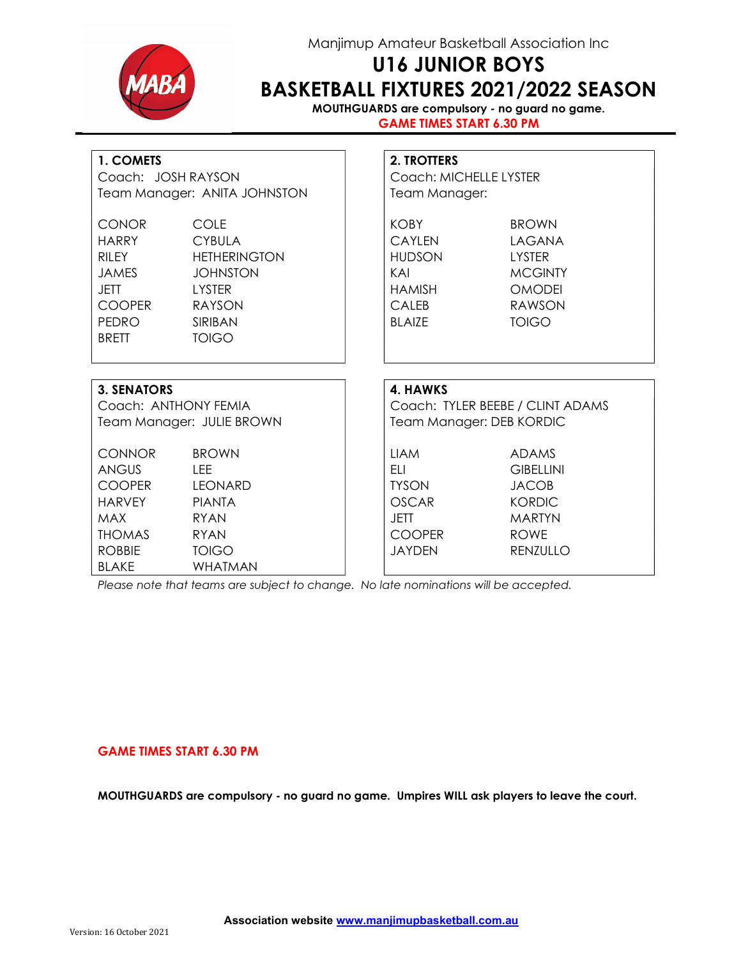

### Manjimup Amateur Basketball Association Inc

# U16 JUNIOR BOYS BASKETBALL FIXTURES 2021/2022 SEASON

MOUTHGUARDS are compulsory - no guard no game. GAME TIMES START 6.30 PM

| 1. COMETS |  |
|-----------|--|
|-----------|--|

| 1. COMETS<br>Coach: JOSH RAYSON                                                                                 |                                                                                                                       |  | 2. TROTTERS<br>Coach: MICHELLE LYSTER                                                           |                                                                                        |  |  |
|-----------------------------------------------------------------------------------------------------------------|-----------------------------------------------------------------------------------------------------------------------|--|-------------------------------------------------------------------------------------------------|----------------------------------------------------------------------------------------|--|--|
| Team Manager: ANITA JOHNSTON                                                                                    |                                                                                                                       |  | Team Manager:                                                                                   |                                                                                        |  |  |
| <b>CONOR</b><br><b>HARRY</b><br>RII FY<br><b>JAMES</b><br><b>JETT</b><br><b>COOPER</b><br>PEDRO<br><b>BRETT</b> | COLE<br><b>CYBULA</b><br><b>HETHERINGTON</b><br><b>JOHNSTON</b><br><b>LYSTER</b><br><b>RAYSON</b><br>SIRIBAN<br>TOIGO |  | KOBY<br><b>CAYLEN</b><br><b>HUDSON</b><br>KAI<br><b>HAMISH</b><br><b>CALEB</b><br><b>BLAIZE</b> | <b>BROWN</b><br>LAGANA<br>LYSTER<br><b>MCGINTY</b><br><b>OMODEI</b><br>RAWSON<br>TOIGO |  |  |
| <b>3. SENATORS</b><br>Coach: ANTHONY FEMIA<br>Team Manager: JULIE BROWN                                         |                                                                                                                       |  | 4. HAWKS                                                                                        | Coach: TYLER BEEBE / CLINT ADAMS<br>Team Manager: DEB KORDIC                           |  |  |

| <b>CONNOR</b> | <b>BROWN</b>   | LIAM          | <b>ADAMS</b>     |
|---------------|----------------|---------------|------------------|
| <b>ANGUS</b>  | LEE            | ELI           | <b>GIBELLINI</b> |
| <b>COOPER</b> | <b>LEONARD</b> | <b>TYSON</b>  | <b>JACOB</b>     |
| <b>HARVEY</b> | <b>PIANTA</b>  | <b>OSCAR</b>  | <b>KORDIC</b>    |
| <b>MAX</b>    | RYAN           | JETT          | <b>MARTYN</b>    |
| <b>THOMAS</b> | RYAN           | <b>COOPER</b> | <b>ROWE</b>      |
| <b>ROBBIE</b> | <b>TOIGO</b>   | <b>JAYDEN</b> | RENZULLO         |
| <b>BLAKE</b>  | WHATMAN        |               |                  |

Please note that teams are subject to change. No late nominations will be accepted.

#### GAME TIMES START 6.30 PM

MOUTHGUARDS are compulsory - no guard no game. Umpires WILL ask players to leave the court.